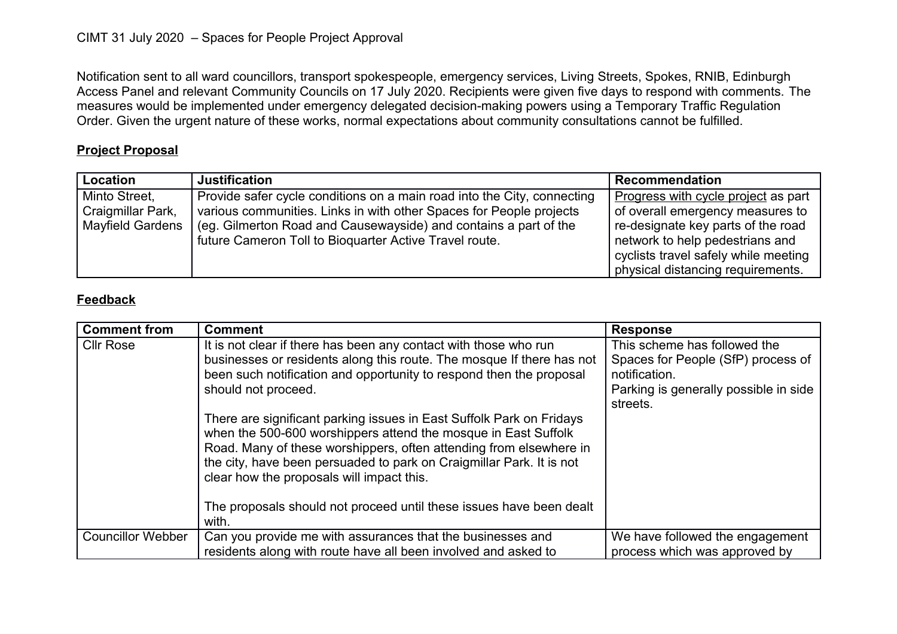Notification sent to all ward councillors, transport spokespeople, emergency services, Living Streets, Spokes, RNIB, Edinburgh Access Panel and relevant Community Councils on 17 July 2020. Recipients were given five days to respond with comments. The measures would be implemented under emergency delegated decision-making powers using a Temporary Traffic Regulation Order. Given the urgent nature of these works, normal expectations about community consultations cannot be fulfilled.

## **Project Proposal**

| Location                                                      | <b>Justification</b>                                                                                                                                                                                                                                                         | Recommendation                                                                                                                                                                                                                |
|---------------------------------------------------------------|------------------------------------------------------------------------------------------------------------------------------------------------------------------------------------------------------------------------------------------------------------------------------|-------------------------------------------------------------------------------------------------------------------------------------------------------------------------------------------------------------------------------|
| Minto Street,<br>Craigmillar Park,<br><b>Mayfield Gardens</b> | Provide safer cycle conditions on a main road into the City, connecting<br>various communities. Links in with other Spaces for People projects<br>(eg. Gilmerton Road and Causewayside) and contains a part of the<br>future Cameron Toll to Bioquarter Active Travel route. | Progress with cycle project as part<br>of overall emergency measures to<br>re-designate key parts of the road<br>network to help pedestrians and<br>cyclists travel safely while meeting<br>physical distancing requirements. |

## **Feedback**

| <b>Comment from</b>      | <b>Comment</b>                                                                                                                                                                                                                                                                                                                                                                                                                                                                                                                                                                                                                                               | <b>Response</b>                                                                                                                          |
|--------------------------|--------------------------------------------------------------------------------------------------------------------------------------------------------------------------------------------------------------------------------------------------------------------------------------------------------------------------------------------------------------------------------------------------------------------------------------------------------------------------------------------------------------------------------------------------------------------------------------------------------------------------------------------------------------|------------------------------------------------------------------------------------------------------------------------------------------|
| <b>CIIr Rose</b>         | It is not clear if there has been any contact with those who run<br>businesses or residents along this route. The mosque If there has not<br>been such notification and opportunity to respond then the proposal<br>should not proceed.<br>There are significant parking issues in East Suffolk Park on Fridays<br>when the 500-600 worshippers attend the mosque in East Suffolk<br>Road. Many of these worshippers, often attending from elsewhere in<br>the city, have been persuaded to park on Craigmillar Park. It is not<br>clear how the proposals will impact this.<br>The proposals should not proceed until these issues have been dealt<br>with. | This scheme has followed the<br>Spaces for People (SfP) process of<br>notification.<br>Parking is generally possible in side<br>streets. |
| <b>Councillor Webber</b> | Can you provide me with assurances that the businesses and<br>residents along with route have all been involved and asked to                                                                                                                                                                                                                                                                                                                                                                                                                                                                                                                                 | We have followed the engagement<br>process which was approved by                                                                         |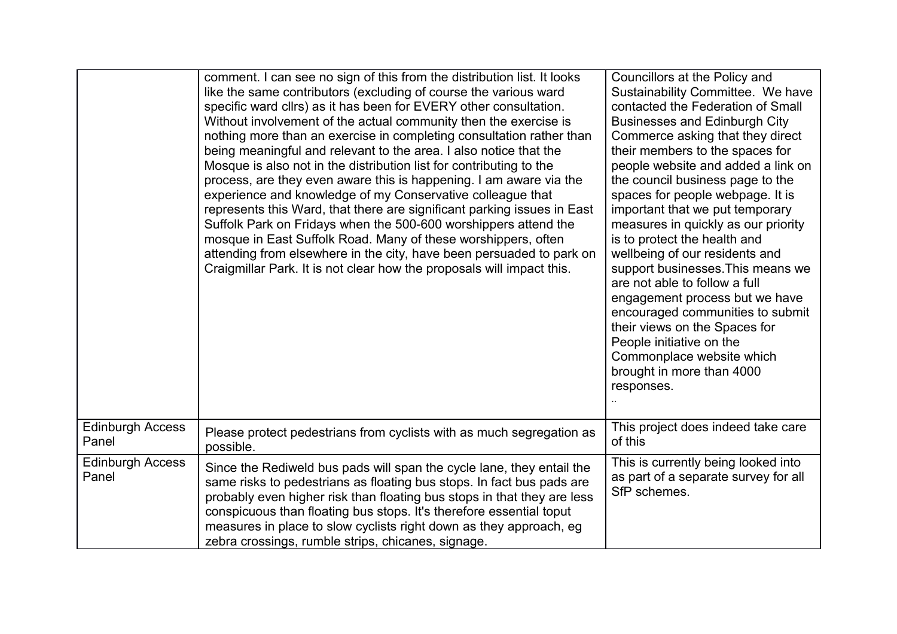|                                  | comment. I can see no sign of this from the distribution list. It looks<br>like the same contributors (excluding of course the various ward<br>specific ward cllrs) as it has been for EVERY other consultation.<br>Without involvement of the actual community then the exercise is<br>nothing more than an exercise in completing consultation rather than<br>being meaningful and relevant to the area. I also notice that the<br>Mosque is also not in the distribution list for contributing to the<br>process, are they even aware this is happening. I am aware via the<br>experience and knowledge of my Conservative colleague that<br>represents this Ward, that there are significant parking issues in East<br>Suffolk Park on Fridays when the 500-600 worshippers attend the<br>mosque in East Suffolk Road. Many of these worshippers, often<br>attending from elsewhere in the city, have been persuaded to park on<br>Craigmillar Park. It is not clear how the proposals will impact this. | Councillors at the Policy and<br>Sustainability Committee. We have<br>contacted the Federation of Small<br><b>Businesses and Edinburgh City</b><br>Commerce asking that they direct<br>their members to the spaces for<br>people website and added a link on<br>the council business page to the<br>spaces for people webpage. It is<br>important that we put temporary<br>measures in quickly as our priority<br>is to protect the health and<br>wellbeing of our residents and<br>support businesses. This means we<br>are not able to follow a full<br>engagement process but we have<br>encouraged communities to submit<br>their views on the Spaces for<br>People initiative on the<br>Commonplace website which<br>brought in more than 4000<br>responses. |
|----------------------------------|--------------------------------------------------------------------------------------------------------------------------------------------------------------------------------------------------------------------------------------------------------------------------------------------------------------------------------------------------------------------------------------------------------------------------------------------------------------------------------------------------------------------------------------------------------------------------------------------------------------------------------------------------------------------------------------------------------------------------------------------------------------------------------------------------------------------------------------------------------------------------------------------------------------------------------------------------------------------------------------------------------------|-------------------------------------------------------------------------------------------------------------------------------------------------------------------------------------------------------------------------------------------------------------------------------------------------------------------------------------------------------------------------------------------------------------------------------------------------------------------------------------------------------------------------------------------------------------------------------------------------------------------------------------------------------------------------------------------------------------------------------------------------------------------|
| <b>Edinburgh Access</b><br>Panel | Please protect pedestrians from cyclists with as much segregation as<br>possible.                                                                                                                                                                                                                                                                                                                                                                                                                                                                                                                                                                                                                                                                                                                                                                                                                                                                                                                            | This project does indeed take care<br>of this                                                                                                                                                                                                                                                                                                                                                                                                                                                                                                                                                                                                                                                                                                                     |
| <b>Edinburgh Access</b><br>Panel | Since the Rediweld bus pads will span the cycle lane, they entail the<br>same risks to pedestrians as floating bus stops. In fact bus pads are<br>probably even higher risk than floating bus stops in that they are less<br>conspicuous than floating bus stops. It's therefore essential toput<br>measures in place to slow cyclists right down as they approach, eg<br>zebra crossings, rumble strips, chicanes, signage.                                                                                                                                                                                                                                                                                                                                                                                                                                                                                                                                                                                 | This is currently being looked into<br>as part of a separate survey for all<br>SfP schemes.                                                                                                                                                                                                                                                                                                                                                                                                                                                                                                                                                                                                                                                                       |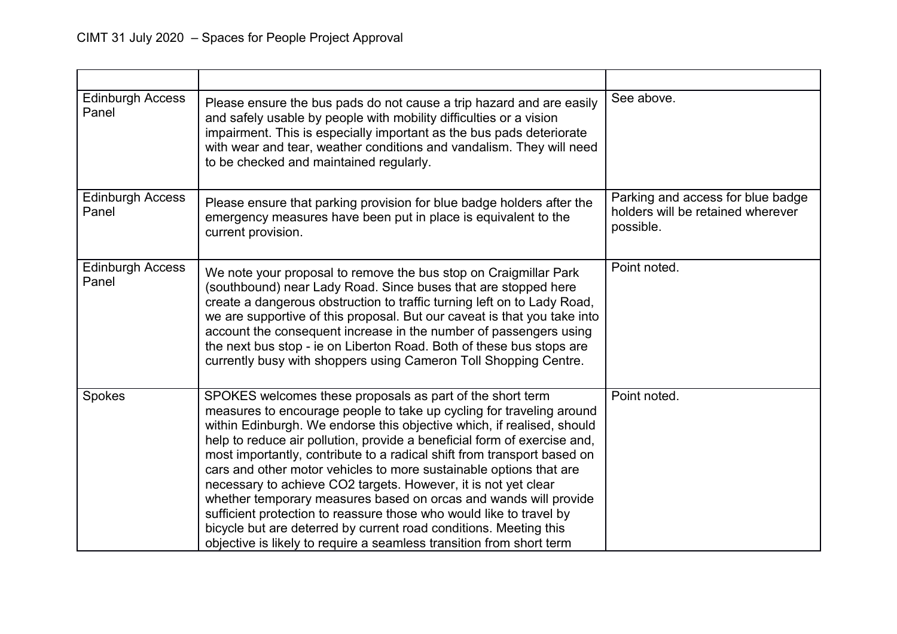| <b>Edinburgh Access</b><br>Panel | Please ensure the bus pads do not cause a trip hazard and are easily<br>and safely usable by people with mobility difficulties or a vision<br>impairment. This is especially important as the bus pads deteriorate<br>with wear and tear, weather conditions and vandalism. They will need<br>to be checked and maintained regularly.                                                                                                                                                                                                                                                                                                                                                                                                                                                              | See above.                                                                          |
|----------------------------------|----------------------------------------------------------------------------------------------------------------------------------------------------------------------------------------------------------------------------------------------------------------------------------------------------------------------------------------------------------------------------------------------------------------------------------------------------------------------------------------------------------------------------------------------------------------------------------------------------------------------------------------------------------------------------------------------------------------------------------------------------------------------------------------------------|-------------------------------------------------------------------------------------|
| <b>Edinburgh Access</b><br>Panel | Please ensure that parking provision for blue badge holders after the<br>emergency measures have been put in place is equivalent to the<br>current provision.                                                                                                                                                                                                                                                                                                                                                                                                                                                                                                                                                                                                                                      | Parking and access for blue badge<br>holders will be retained wherever<br>possible. |
| <b>Edinburgh Access</b><br>Panel | We note your proposal to remove the bus stop on Craigmillar Park<br>(southbound) near Lady Road. Since buses that are stopped here<br>create a dangerous obstruction to traffic turning left on to Lady Road,<br>we are supportive of this proposal. But our caveat is that you take into<br>account the consequent increase in the number of passengers using<br>the next bus stop - ie on Liberton Road. Both of these bus stops are<br>currently busy with shoppers using Cameron Toll Shopping Centre.                                                                                                                                                                                                                                                                                         | Point noted.                                                                        |
| Spokes                           | SPOKES welcomes these proposals as part of the short term<br>measures to encourage people to take up cycling for traveling around<br>within Edinburgh. We endorse this objective which, if realised, should<br>help to reduce air pollution, provide a beneficial form of exercise and,<br>most importantly, contribute to a radical shift from transport based on<br>cars and other motor vehicles to more sustainable options that are<br>necessary to achieve CO2 targets. However, it is not yet clear<br>whether temporary measures based on orcas and wands will provide<br>sufficient protection to reassure those who would like to travel by<br>bicycle but are deterred by current road conditions. Meeting this<br>objective is likely to require a seamless transition from short term | Point noted.                                                                        |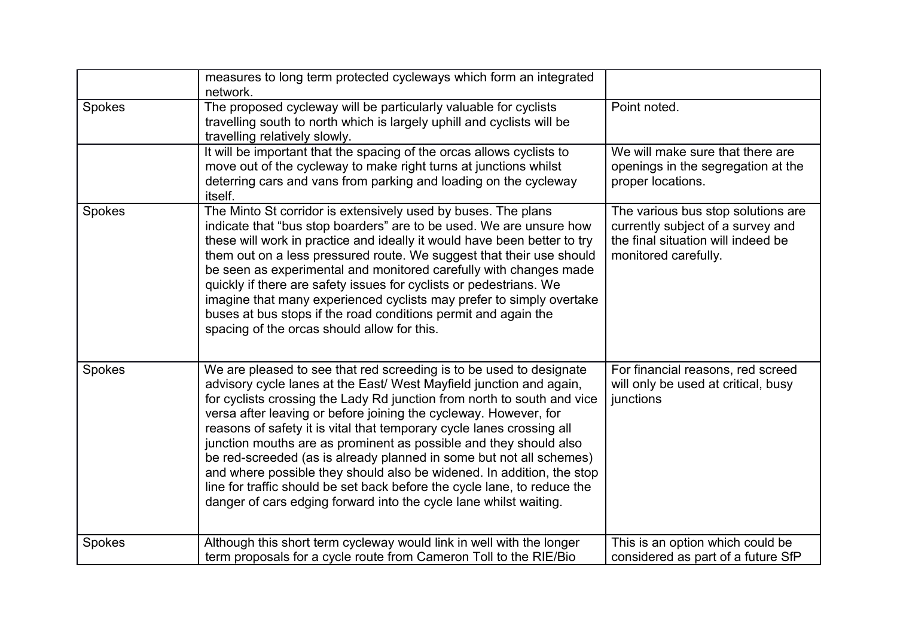|        | measures to long term protected cycleways which form an integrated<br>network.                                                                                                                                                                                                                                                                                                                                                                                                                                                                                                                                                                                                                                                           |                                                                                                                                       |
|--------|------------------------------------------------------------------------------------------------------------------------------------------------------------------------------------------------------------------------------------------------------------------------------------------------------------------------------------------------------------------------------------------------------------------------------------------------------------------------------------------------------------------------------------------------------------------------------------------------------------------------------------------------------------------------------------------------------------------------------------------|---------------------------------------------------------------------------------------------------------------------------------------|
| Spokes | The proposed cycleway will be particularly valuable for cyclists<br>travelling south to north which is largely uphill and cyclists will be<br>travelling relatively slowly.                                                                                                                                                                                                                                                                                                                                                                                                                                                                                                                                                              | Point noted.                                                                                                                          |
|        | It will be important that the spacing of the orcas allows cyclists to<br>move out of the cycleway to make right turns at junctions whilst<br>deterring cars and vans from parking and loading on the cycleway<br>itself.                                                                                                                                                                                                                                                                                                                                                                                                                                                                                                                 | We will make sure that there are<br>openings in the segregation at the<br>proper locations.                                           |
| Spokes | The Minto St corridor is extensively used by buses. The plans<br>indicate that "bus stop boarders" are to be used. We are unsure how<br>these will work in practice and ideally it would have been better to try<br>them out on a less pressured route. We suggest that their use should<br>be seen as experimental and monitored carefully with changes made<br>quickly if there are safety issues for cyclists or pedestrians. We<br>imagine that many experienced cyclists may prefer to simply overtake<br>buses at bus stops if the road conditions permit and again the<br>spacing of the orcas should allow for this.                                                                                                             | The various bus stop solutions are<br>currently subject of a survey and<br>the final situation will indeed be<br>monitored carefully. |
| Spokes | We are pleased to see that red screeding is to be used to designate<br>advisory cycle lanes at the East/ West Mayfield junction and again,<br>for cyclists crossing the Lady Rd junction from north to south and vice<br>versa after leaving or before joining the cycleway. However, for<br>reasons of safety it is vital that temporary cycle lanes crossing all<br>junction mouths are as prominent as possible and they should also<br>be red-screeded (as is already planned in some but not all schemes)<br>and where possible they should also be widened. In addition, the stop<br>line for traffic should be set back before the cycle lane, to reduce the<br>danger of cars edging forward into the cycle lane whilst waiting. | For financial reasons, red screed<br>will only be used at critical, busy<br>junctions                                                 |
| Spokes | Although this short term cycleway would link in well with the longer<br>term proposals for a cycle route from Cameron Toll to the RIE/Bio                                                                                                                                                                                                                                                                                                                                                                                                                                                                                                                                                                                                | This is an option which could be<br>considered as part of a future SfP                                                                |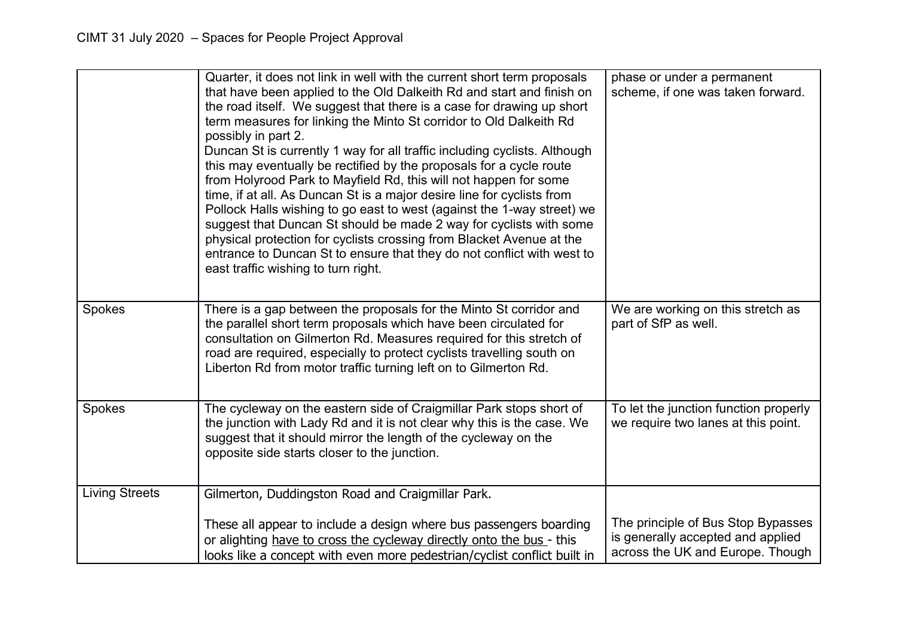|                       | Quarter, it does not link in well with the current short term proposals<br>that have been applied to the Old Dalkeith Rd and start and finish on<br>the road itself. We suggest that there is a case for drawing up short<br>term measures for linking the Minto St corridor to Old Dalkeith Rd<br>possibly in part 2.<br>Duncan St is currently 1 way for all traffic including cyclists. Although<br>this may eventually be rectified by the proposals for a cycle route<br>from Holyrood Park to Mayfield Rd, this will not happen for some<br>time, if at all. As Duncan St is a major desire line for cyclists from<br>Pollock Halls wishing to go east to west (against the 1-way street) we<br>suggest that Duncan St should be made 2 way for cyclists with some<br>physical protection for cyclists crossing from Blacket Avenue at the<br>entrance to Duncan St to ensure that they do not conflict with west to<br>east traffic wishing to turn right. | phase or under a permanent<br>scheme, if one was taken forward.                                             |
|-----------------------|-------------------------------------------------------------------------------------------------------------------------------------------------------------------------------------------------------------------------------------------------------------------------------------------------------------------------------------------------------------------------------------------------------------------------------------------------------------------------------------------------------------------------------------------------------------------------------------------------------------------------------------------------------------------------------------------------------------------------------------------------------------------------------------------------------------------------------------------------------------------------------------------------------------------------------------------------------------------|-------------------------------------------------------------------------------------------------------------|
| Spokes                | There is a gap between the proposals for the Minto St corridor and<br>the parallel short term proposals which have been circulated for<br>consultation on Gilmerton Rd. Measures required for this stretch of<br>road are required, especially to protect cyclists travelling south on<br>Liberton Rd from motor traffic turning left on to Gilmerton Rd.                                                                                                                                                                                                                                                                                                                                                                                                                                                                                                                                                                                                         | We are working on this stretch as<br>part of SfP as well.                                                   |
| Spokes                | The cycleway on the eastern side of Craigmillar Park stops short of<br>the junction with Lady Rd and it is not clear why this is the case. We<br>suggest that it should mirror the length of the cycleway on the<br>opposite side starts closer to the junction.                                                                                                                                                                                                                                                                                                                                                                                                                                                                                                                                                                                                                                                                                                  | To let the junction function properly<br>we require two lanes at this point.                                |
| <b>Living Streets</b> | Gilmerton, Duddingston Road and Craigmillar Park.                                                                                                                                                                                                                                                                                                                                                                                                                                                                                                                                                                                                                                                                                                                                                                                                                                                                                                                 |                                                                                                             |
|                       | These all appear to include a design where bus passengers boarding<br>or alighting have to cross the cycleway directly onto the bus - this<br>looks like a concept with even more pedestrian/cyclist conflict built in                                                                                                                                                                                                                                                                                                                                                                                                                                                                                                                                                                                                                                                                                                                                            | The principle of Bus Stop Bypasses<br>is generally accepted and applied<br>across the UK and Europe. Though |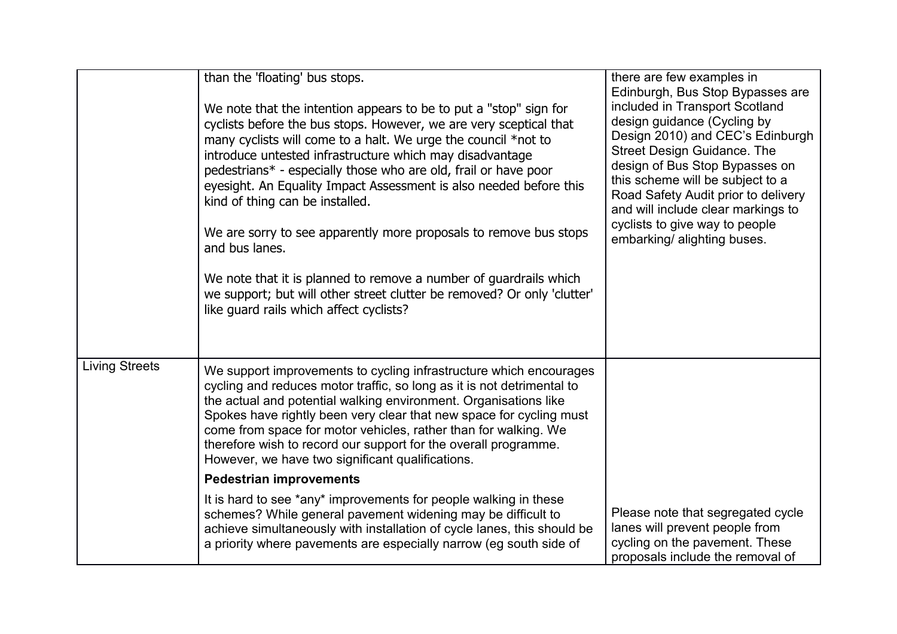|                       | than the 'floating' bus stops.<br>We note that the intention appears to be to put a "stop" sign for<br>cyclists before the bus stops. However, we are very sceptical that<br>many cyclists will come to a halt. We urge the council *not to<br>introduce untested infrastructure which may disadvantage<br>pedestrians* - especially those who are old, frail or have poor<br>eyesight. An Equality Impact Assessment is also needed before this<br>kind of thing can be installed.<br>We are sorry to see apparently more proposals to remove bus stops<br>and bus lanes.<br>We note that it is planned to remove a number of guardrails which<br>we support; but will other street clutter be removed? Or only 'clutter'<br>like guard rails which affect cyclists? | there are few examples in<br>Edinburgh, Bus Stop Bypasses are<br>included in Transport Scotland<br>design guidance (Cycling by<br>Design 2010) and CEC's Edinburgh<br><b>Street Design Guidance. The</b><br>design of Bus Stop Bypasses on<br>this scheme will be subject to a<br>Road Safety Audit prior to delivery<br>and will include clear markings to<br>cyclists to give way to people<br>embarking/ alighting buses. |
|-----------------------|-----------------------------------------------------------------------------------------------------------------------------------------------------------------------------------------------------------------------------------------------------------------------------------------------------------------------------------------------------------------------------------------------------------------------------------------------------------------------------------------------------------------------------------------------------------------------------------------------------------------------------------------------------------------------------------------------------------------------------------------------------------------------|------------------------------------------------------------------------------------------------------------------------------------------------------------------------------------------------------------------------------------------------------------------------------------------------------------------------------------------------------------------------------------------------------------------------------|
| <b>Living Streets</b> | We support improvements to cycling infrastructure which encourages<br>cycling and reduces motor traffic, so long as it is not detrimental to<br>the actual and potential walking environment. Organisations like<br>Spokes have rightly been very clear that new space for cycling must<br>come from space for motor vehicles, rather than for walking. We<br>therefore wish to record our support for the overall programme.<br>However, we have two significant qualifications.                                                                                                                                                                                                                                                                                     |                                                                                                                                                                                                                                                                                                                                                                                                                              |
|                       | <b>Pedestrian improvements</b>                                                                                                                                                                                                                                                                                                                                                                                                                                                                                                                                                                                                                                                                                                                                        |                                                                                                                                                                                                                                                                                                                                                                                                                              |
|                       | It is hard to see *any* improvements for people walking in these<br>schemes? While general pavement widening may be difficult to<br>achieve simultaneously with installation of cycle lanes, this should be<br>a priority where pavements are especially narrow (eg south side of                                                                                                                                                                                                                                                                                                                                                                                                                                                                                     | Please note that segregated cycle<br>lanes will prevent people from<br>cycling on the pavement. These<br>proposals include the removal of                                                                                                                                                                                                                                                                                    |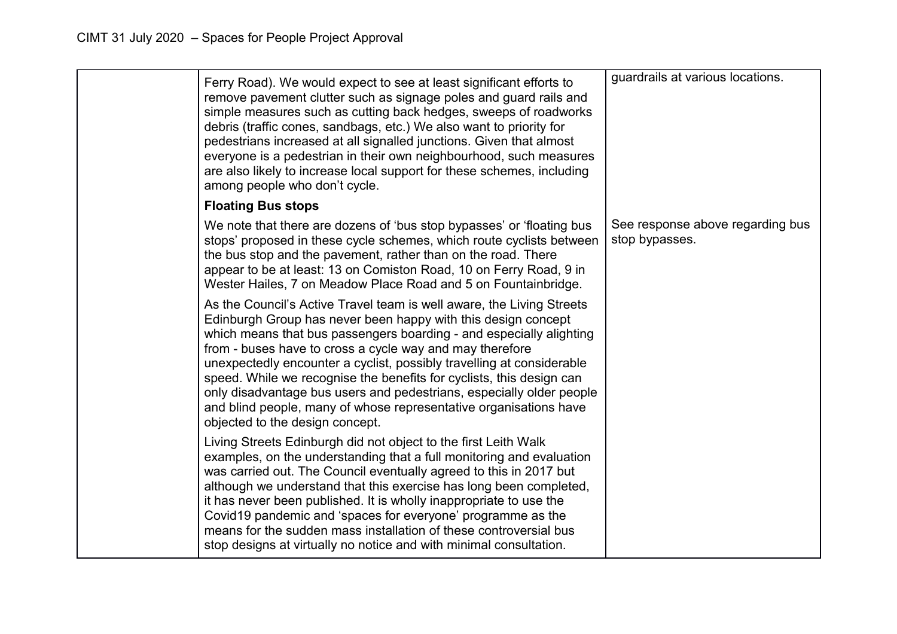| Ferry Road). We would expect to see at least significant efforts to<br>remove pavement clutter such as signage poles and guard rails and<br>simple measures such as cutting back hedges, sweeps of roadworks<br>debris (traffic cones, sandbags, etc.) We also want to priority for<br>pedestrians increased at all signalled junctions. Given that almost<br>everyone is a pedestrian in their own neighbourhood, such measures<br>are also likely to increase local support for these schemes, including<br>among people who don't cycle.                                                                | guardrails at various locations.                   |
|------------------------------------------------------------------------------------------------------------------------------------------------------------------------------------------------------------------------------------------------------------------------------------------------------------------------------------------------------------------------------------------------------------------------------------------------------------------------------------------------------------------------------------------------------------------------------------------------------------|----------------------------------------------------|
| <b>Floating Bus stops</b>                                                                                                                                                                                                                                                                                                                                                                                                                                                                                                                                                                                  |                                                    |
| We note that there are dozens of 'bus stop bypasses' or 'floating bus<br>stops' proposed in these cycle schemes, which route cyclists between<br>the bus stop and the pavement, rather than on the road. There<br>appear to be at least: 13 on Comiston Road, 10 on Ferry Road, 9 in<br>Wester Hailes, 7 on Meadow Place Road and 5 on Fountainbridge.                                                                                                                                                                                                                                                     | See response above regarding bus<br>stop bypasses. |
| As the Council's Active Travel team is well aware, the Living Streets<br>Edinburgh Group has never been happy with this design concept<br>which means that bus passengers boarding - and especially alighting<br>from - buses have to cross a cycle way and may therefore<br>unexpectedly encounter a cyclist, possibly travelling at considerable<br>speed. While we recognise the benefits for cyclists, this design can<br>only disadvantage bus users and pedestrians, especially older people<br>and blind people, many of whose representative organisations have<br>objected to the design concept. |                                                    |
| Living Streets Edinburgh did not object to the first Leith Walk<br>examples, on the understanding that a full monitoring and evaluation<br>was carried out. The Council eventually agreed to this in 2017 but<br>although we understand that this exercise has long been completed,<br>it has never been published. It is wholly inappropriate to use the<br>Covid19 pandemic and 'spaces for everyone' programme as the<br>means for the sudden mass installation of these controversial bus<br>stop designs at virtually no notice and with minimal consultation.                                        |                                                    |